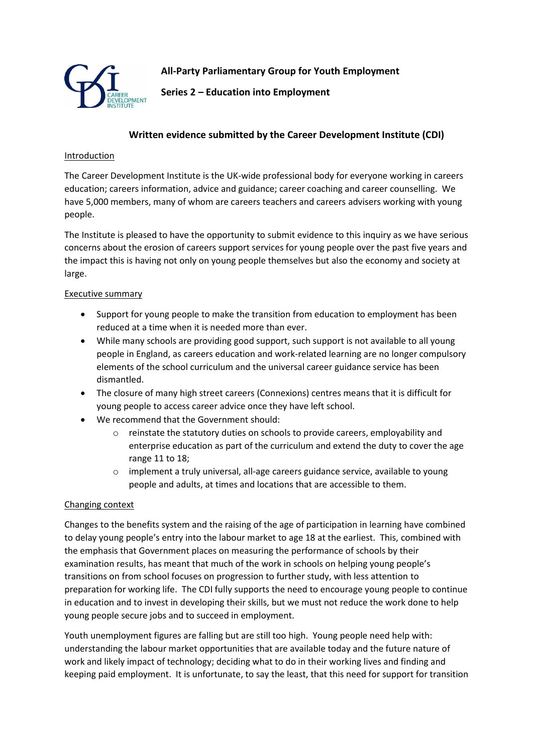

**All-Party Parliamentary Group for Youth Employment**

**Series 2 – Education into Employment**

# **Written evidence submitted by the Career Development Institute (CDI)**

### Introduction

The Career Development Institute is the UK-wide professional body for everyone working in careers education; careers information, advice and guidance; career coaching and career counselling. We have 5,000 members, many of whom are careers teachers and careers advisers working with young people.

The Institute is pleased to have the opportunity to submit evidence to this inquiry as we have serious concerns about the erosion of careers support services for young people over the past five years and the impact this is having not only on young people themselves but also the economy and society at large.

### Executive summary

- Support for young people to make the transition from education to employment has been reduced at a time when it is needed more than ever.
- While many schools are providing good support, such support is not available to all young people in England, as careers education and work-related learning are no longer compulsory elements of the school curriculum and the universal career guidance service has been dismantled.
- The closure of many high street careers (Connexions) centres means that it is difficult for young people to access career advice once they have left school.
- We recommend that the Government should:
	- o reinstate the statutory duties on schools to provide careers, employability and enterprise education as part of the curriculum and extend the duty to cover the age range 11 to 18;
	- o implement a truly universal, all-age careers guidance service, available to young people and adults, at times and locations that are accessible to them.

### Changing context

Changes to the benefits system and the raising of the age of participation in learning have combined to delay young people's entry into the labour market to age 18 at the earliest. This, combined with the emphasis that Government places on measuring the performance of schools by their examination results, has meant that much of the work in schools on helping young people's transitions on from school focuses on progression to further study, with less attention to preparation for working life. The CDI fully supports the need to encourage young people to continue in education and to invest in developing their skills, but we must not reduce the work done to help young people secure jobs and to succeed in employment.

Youth unemployment figures are falling but are still too high. Young people need help with: understanding the labour market opportunities that are available today and the future nature of work and likely impact of technology; deciding what to do in their working lives and finding and keeping paid employment. It is unfortunate, to say the least, that this need for support for transition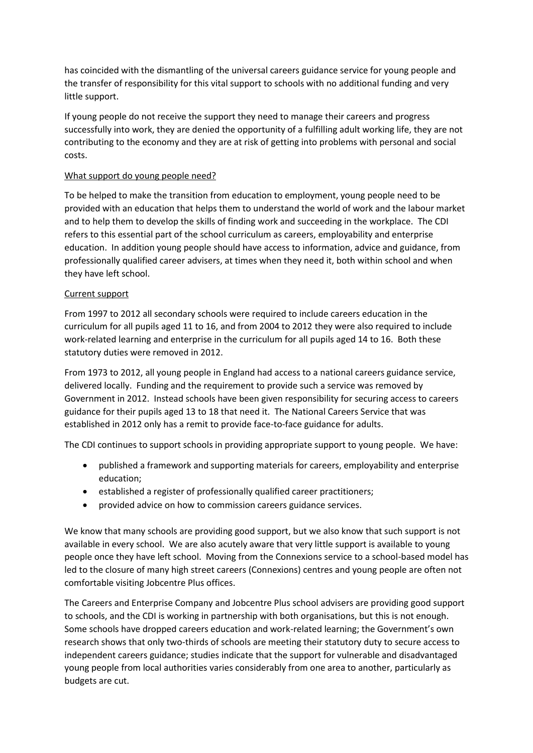has coincided with the dismantling of the universal careers guidance service for young people and the transfer of responsibility for this vital support to schools with no additional funding and very little support.

If young people do not receive the support they need to manage their careers and progress successfully into work, they are denied the opportunity of a fulfilling adult working life, they are not contributing to the economy and they are at risk of getting into problems with personal and social costs.

### What support do young people need?

To be helped to make the transition from education to employment, young people need to be provided with an education that helps them to understand the world of work and the labour market and to help them to develop the skills of finding work and succeeding in the workplace. The CDI refers to this essential part of the school curriculum as careers, employability and enterprise education. In addition young people should have access to information, advice and guidance, from professionally qualified career advisers, at times when they need it, both within school and when they have left school.

## Current support

From 1997 to 2012 all secondary schools were required to include careers education in the curriculum for all pupils aged 11 to 16, and from 2004 to 2012 they were also required to include work-related learning and enterprise in the curriculum for all pupils aged 14 to 16. Both these statutory duties were removed in 2012.

From 1973 to 2012, all young people in England had access to a national careers guidance service, delivered locally. Funding and the requirement to provide such a service was removed by Government in 2012. Instead schools have been given responsibility for securing access to careers guidance for their pupils aged 13 to 18 that need it. The National Careers Service that was established in 2012 only has a remit to provide face-to-face guidance for adults.

The CDI continues to support schools in providing appropriate support to young people. We have:

- published a framework and supporting materials for careers, employability and enterprise education;
- established a register of professionally qualified career practitioners;
- provided advice on how to commission careers guidance services.

We know that many schools are providing good support, but we also know that such support is not available in every school. We are also acutely aware that very little support is available to young people once they have left school. Moving from the Connexions service to a school-based model has led to the closure of many high street careers (Connexions) centres and young people are often not comfortable visiting Jobcentre Plus offices.

The Careers and Enterprise Company and Jobcentre Plus school advisers are providing good support to schools, and the CDI is working in partnership with both organisations, but this is not enough. Some schools have dropped careers education and work-related learning; the Government's own research shows that only two-thirds of schools are meeting their statutory duty to secure access to independent careers guidance; studies indicate that the support for vulnerable and disadvantaged young people from local authorities varies considerably from one area to another, particularly as budgets are cut.